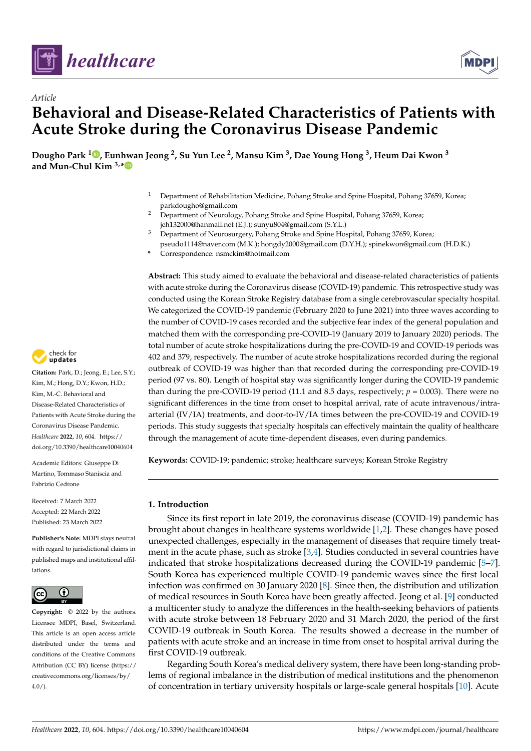



# *Article* **Behavioral and Disease-Related Characteristics of Patients with Acute Stroke during the Coronavirus Disease Pandemic**

**Dougho Park <sup>1</sup> [,](https://orcid.org/0000-0002-1288-470X) Eunhwan Jeong <sup>2</sup> , Su Yun Lee <sup>2</sup> , Mansu Kim <sup>3</sup> , Dae Young Hong <sup>3</sup> , Heum Dai Kwon <sup>3</sup> and Mun-Chul Kim 3,[\\*](https://orcid.org/0000-0002-2232-065X)**

- <sup>1</sup> Department of Rehabilitation Medicine, Pohang Stroke and Spine Hospital, Pohang 37659, Korea; parkdougho@gmail.com
- <sup>2</sup> Department of Neurology, Pohang Stroke and Spine Hospital, Pohang 37659, Korea; jeh132000@hanmail.net (E.J.); sunyu804@gmail.com (S.Y.L.)
- <sup>3</sup> Department of Neurosurgery, Pohang Stroke and Spine Hospital, Pohang 37659, Korea; pseudo1114@naver.com (M.K.); hongdy2000@gmail.com (D.Y.H.); spinekwon@gmail.com (H.D.K.)
- **\*** Correspondence: nsmckim@hotmail.com

**Abstract:** This study aimed to evaluate the behavioral and disease-related characteristics of patients with acute stroke during the Coronavirus disease (COVID-19) pandemic. This retrospective study was conducted using the Korean Stroke Registry database from a single cerebrovascular specialty hospital. We categorized the COVID-19 pandemic (February 2020 to June 2021) into three waves according to the number of COVID-19 cases recorded and the subjective fear index of the general population and matched them with the corresponding pre-COVID-19 (January 2019 to January 2020) periods. The total number of acute stroke hospitalizations during the pre-COVID-19 and COVID-19 periods was 402 and 379, respectively. The number of acute stroke hospitalizations recorded during the regional outbreak of COVID-19 was higher than that recorded during the corresponding pre-COVID-19 period (97 vs. 80). Length of hospital stay was significantly longer during the COVID-19 pandemic than during the pre-COVID-19 period (11.1 and 8.5 days, respectively;  $p = 0.003$ ). There were no significant differences in the time from onset to hospital arrival, rate of acute intravenous/intraarterial (IV/IA) treatments, and door-to-IV/IA times between the pre-COVID-19 and COVID-19 periods. This study suggests that specialty hospitals can effectively maintain the quality of healthcare through the management of acute time-dependent diseases, even during pandemics.

**Keywords:** COVID-19; pandemic; stroke; healthcare surveys; Korean Stroke Registry

## **1. Introduction**

Since its first report in late 2019, the coronavirus disease (COVID-19) pandemic has brought about changes in healthcare systems worldwide [\[1](#page-8-0)[,2\]](#page-8-1). These changes have posed unexpected challenges, especially in the management of diseases that require timely treatment in the acute phase, such as stroke  $[3,4]$  $[3,4]$ . Studies conducted in several countries have indicated that stroke hospitalizations decreased during the COVID-19 pandemic [\[5](#page-8-4)[–7\]](#page-9-0). South Korea has experienced multiple COVID-19 pandemic waves since the first local infection was confirmed on 30 January 2020 [\[8\]](#page-9-1). Since then, the distribution and utilization of medical resources in South Korea have been greatly affected. Jeong et al. [\[9\]](#page-9-2) conducted a multicenter study to analyze the differences in the health-seeking behaviors of patients with acute stroke between 18 February 2020 and 31 March 2020, the period of the first COVID-19 outbreak in South Korea. The results showed a decrease in the number of patients with acute stroke and an increase in time from onset to hospital arrival during the first COVID-19 outbreak.

Regarding South Korea's medical delivery system, there have been long-standing problems of regional imbalance in the distribution of medical institutions and the phenomenon of concentration in tertiary university hospitals or large-scale general hospitals [\[10\]](#page-9-3). Acute



**Citation:** Park, D.; Jeong, E.; Lee, S.Y.; Kim, M.; Hong, D.Y.; Kwon, H.D.; Kim, M.-C. Behavioral and Disease-Related Characteristics of Patients with Acute Stroke during the Coronavirus Disease Pandemic. *Healthcare* **2022**, *10*, 604. [https://](https://doi.org/10.3390/healthcare10040604) [doi.org/10.3390/healthcare10040604](https://doi.org/10.3390/healthcare10040604)

Academic Editors: Giuseppe Di Martino, Tommaso Staniscia and Fabrizio Cedrone

Received: 7 March 2022 Accepted: 22 March 2022 Published: 23 March 2022

**Publisher's Note:** MDPI stays neutral with regard to jurisdictional claims in published maps and institutional affiliations.



**Copyright:** © 2022 by the authors. Licensee MDPI, Basel, Switzerland. This article is an open access article distributed under the terms and conditions of the Creative Commons Attribution (CC BY) license [\(https://](https://creativecommons.org/licenses/by/4.0/) [creativecommons.org/licenses/by/](https://creativecommons.org/licenses/by/4.0/)  $4.0/$ ).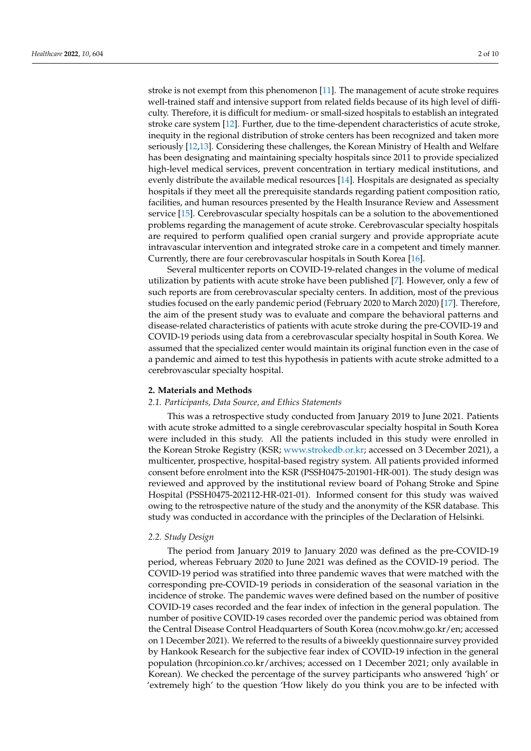stroke is not exempt from this phenomenon [\[11\]](#page-9-4). The management of acute stroke requires well-trained staff and intensive support from related fields because of its high level of difficulty. Therefore, it is difficult for medium- or small-sized hospitals to establish an integrated stroke care system [\[12\]](#page-9-5). Further, due to the time-dependent characteristics of acute stroke, inequity in the regional distribution of stroke centers has been recognized and taken more seriously [\[12](#page-9-5)[,13\]](#page-9-6). Considering these challenges, the Korean Ministry of Health and Welfare has been designating and maintaining specialty hospitals since 2011 to provide specialized high-level medical services, prevent concentration in tertiary medical institutions, and evenly distribute the available medical resources [\[14\]](#page-9-7). Hospitals are designated as specialty hospitals if they meet all the prerequisite standards regarding patient composition ratio, facilities, and human resources presented by the Health Insurance Review and Assessment service [\[15\]](#page-9-8). Cerebrovascular specialty hospitals can be a solution to the abovementioned problems regarding the management of acute stroke. Cerebrovascular specialty hospitals are required to perform qualified open cranial surgery and provide appropriate acute intravascular intervention and integrated stroke care in a competent and timely manner. Currently, there are four cerebrovascular hospitals in South Korea [\[16\]](#page-9-9).

Several multicenter reports on COVID-19-related changes in the volume of medical utilization by patients with acute stroke have been published [\[7\]](#page-9-0). However, only a few of such reports are from cerebrovascular specialty centers. In addition, most of the previous studies focused on the early pandemic period (February 2020 to March 2020) [\[17\]](#page-9-10). Therefore, the aim of the present study was to evaluate and compare the behavioral patterns and disease-related characteristics of patients with acute stroke during the pre-COVID-19 and COVID-19 periods using data from a cerebrovascular specialty hospital in South Korea. We assumed that the specialized center would maintain its original function even in the case of a pandemic and aimed to test this hypothesis in patients with acute stroke admitted to a cerebrovascular specialty hospital.

## **2. Materials and Methods**

#### *2.1. Participants, Data Source, and Ethics Statements*

This was a retrospective study conducted from January 2019 to June 2021. Patients with acute stroke admitted to a single cerebrovascular specialty hospital in South Korea were included in this study. All the patients included in this study were enrolled in the Korean Stroke Registry (KSR; [www.strokedb.or.kr;](www.strokedb.or.kr) accessed on 3 December 2021), a multicenter, prospective, hospital-based registry system. All patients provided informed consent before enrolment into the KSR (PSSH0475-201901-HR-001). The study design was reviewed and approved by the institutional review board of Pohang Stroke and Spine Hospital (PSSH0475-202112-HR-021-01). Informed consent for this study was waived owing to the retrospective nature of the study and the anonymity of the KSR database. This study was conducted in accordance with the principles of the Declaration of Helsinki.

## *2.2. Study Design*

The period from January 2019 to January 2020 was defined as the pre-COVID-19 period, whereas February 2020 to June 2021 was defined as the COVID-19 period. The COVID-19 period was stratified into three pandemic waves that were matched with the corresponding pre-COVID-19 periods in consideration of the seasonal variation in the incidence of stroke. The pandemic waves were defined based on the number of positive COVID-19 cases recorded and the fear index of infection in the general population. The number of positive COVID-19 cases recorded over the pandemic period was obtained from the Central Disease Control Headquarters of South Korea (ncov.mohw.go.kr/en; accessed on 1 December 2021). We referred to the results of a biweekly questionnaire survey provided by Hankook Research for the subjective fear index of COVID-19 infection in the general population (hrcopinion.co.kr/archives; accessed on 1 December 2021; only available in Korean). We checked the percentage of the survey participants who answered 'high' or 'extremely high' to the question 'How likely do you think you are to be infected with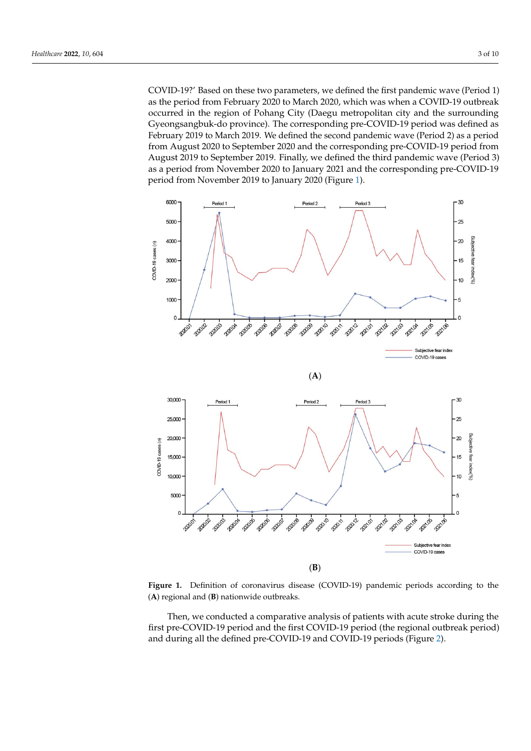COVID-19?' Based on these two parameters, we defined the first pandemic wave (Period 1) as the period from February 2020 to March 2020, which was when a COVID-19 outbreak occurred in the region of Pohang City (Daegu metropolitan city and the surrounding pre-Gyeongsangbuk-do province). The corresponding pre-COVID-19 period was defined as <br>February 2019 to March 2019. We defined the second part of the second part of the second part of the second pa February 2019 to March 2019. We defined the second pandemic wave (Period 2) as a period<br>From August 2020 to September 2020 and the corresponding pre-COVID-19 period from August 2020 to September 2020 and the corresponding pre-COVID-19 period from From August 2020 to September 2020 and the corresponding pre-COVID-15 period from August 2019 to September 2019. Finally, we defined the third pandemic wave (Period 3) ridgest 2012 to September 2012. This y, we defined the time pandemic wave (terrod 3) as a period from November 2020 to January 2021 and the corresponding pre-COVID-19 as a period from November 2020 to January 2021 and the correlation period from November 2019 to January 2020 (Figure [1\)](#page-2-0). COVID-19?' Based on these two parameters, we defined the first pandemic wave (Period COVID-19: Dased on these two parameters, we defined the first participate wave (Ferrod

<span id="page-2-0"></span>

Figure 1. Definition of coronavirus disease (COVID-19) pandemic periods according to the gional and (**B**) nationwide outbreaks. (**A**) regional and (**B**) nationwide outbreaks.

Then, we conducted a comparative analysis of patients with acute stroke during the first pre-COVID-19 period and the first COVID-19 period (the regional outbreak period) and during all the defined pre-COVID-19 and COVID-19 periods (Figure [2\)](#page-3-0).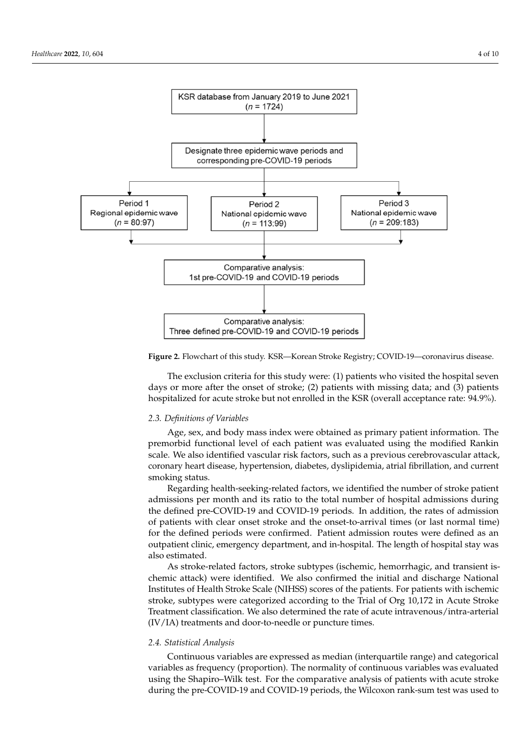<span id="page-3-0"></span>

**Figure 2.** Flowchart of this study. KSR—Korean Stroke Registry; COVID-19—coronavirus disease. **Figure 2.** Flowchart of this study. KSR—Korean Stroke Registry; COVID-19—coronavirus disease.

The exclusion criteria for this study were: (1) patients who visited the hospital seven The exclusion criteria for this study were: (1) patients who visited the hospital seven days or more after the onset of stroke; (2) patients with missing data; and (3) patients days or more after the onset of stroke; (2) patients with missing data; and (3) patients hospitalized for acute stroke but not enrolled in the KSR (overall acceptance rate: 94.9%). hospitalized for acute stroke but not enrolled in the KSR (overall acceptance rate: 94.9%).

## *2.3. Definitions of Variables 2.3. Definitions of Variables*

Age, sex, and body mass index were obtained as primary patient information. The Age, sex, and body mass index were obtained as primary patient information. The premorbid functional level of each patient was evaluated using the modified Rankin scale. We also identified vascular risk factors, such as a previous cerebrovascular attack, nary heart disease, hypertension, diabetes, dyslipidemia, atrial fibrillation, and current coronary heart disease, hypertension, diabetes, dyslipidemia, atrial fibrillation, and current smoking status. smoking status.

Regarding health-seeking-related factors, we identified the number of stroke patient Regarding health-seeking-related factors, we identified the number of stroke patient admissions per month and its ratio to the total number of hospital admissions during the defined pre-COVID-19 and COVID-19 periods. In addition, the rates of admission of patients with clear onset stroke and the onset-to-arrival times (or last normal time) for the defined periods were confirmed. Patient admission routes were defined as an outpatient clinic, emergency department, and in-hospital. The length of hospital stay was also estimated.

As stroke-related factors, stroke subtypes (ischemic, hemorrhagic, and transient is-As stroke-related factors, stroke subtypes (ischemic, hemorrhagic, and transient ischemic attack) were identified. We also confirmed the initial and discharge National Institutes of Health Stroke Scale (NIHSS) scores of the patients. For patients with ischemic stroke, subtypes were categorized according to the Trial of Org 10,172 in Acute Stroke Treatment classification. We also determined the rate of acute intravenous/intra-arterial Treatment classification. We also determined the rate of acute intravenous/intra-arterial (IV/IA) treatments and door-to-needle or puncture times. (IV/IA) treatments and door-to-needle or puncture times.

## *2.4. Statistical Analysis 2.4. Statistical Analysis*

Continuous variables are expressed as median (interquartile range) and categorical variables as frequency (proportion). The normality of continuous variables was evaluated using the Shapiro–Wilk test. For the comparative analysis of patients with acute stroke during the pre-COVID-19 and COVID-19 periods, the Wilcoxon rank-sum test was used to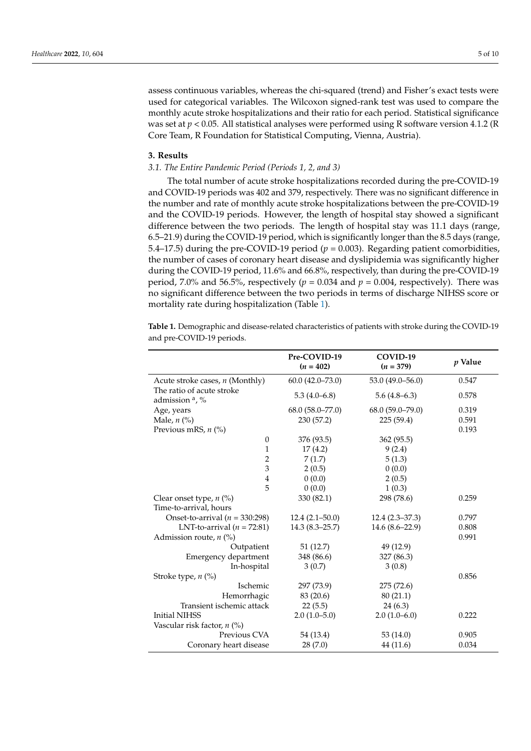assess continuous variables, whereas the chi-squared (trend) and Fisher's exact tests were used for categorical variables. The Wilcoxon signed-rank test was used to compare the monthly acute stroke hospitalizations and their ratio for each period. Statistical significance was set at  $p < 0.05$ . All statistical analyses were performed using R software version 4.1.2 (R Core Team, R Foundation for Statistical Computing, Vienna, Austria).

#### **3. Results**

## *3.1. The Entire Pandemic Period (Periods 1, 2, and 3)*

The total number of acute stroke hospitalizations recorded during the pre-COVID-19 and COVID-19 periods was 402 and 379, respectively. There was no significant difference in the number and rate of monthly acute stroke hospitalizations between the pre-COVID-19 and the COVID-19 periods. However, the length of hospital stay showed a significant difference between the two periods. The length of hospital stay was 11.1 days (range, 6.5–21.9) during the COVID-19 period, which is significantly longer than the 8.5 days (range, 5.4–17.5) during the pre-COVID-19 period ( $p = 0.003$ ). Regarding patient comorbidities, the number of cases of coronary heart disease and dyslipidemia was significantly higher during the COVID-19 period, 11.6% and 66.8%, respectively, than during the pre-COVID-19 period, 7.0% and 56.5%, respectively ( $p = 0.034$  and  $p = 0.004$ , respectively). There was no significant difference between the two periods in terms of discharge NIHSS score or mortality rate during hospitalization (Table [1\)](#page-4-0).

<span id="page-4-0"></span>**Table 1.** Demographic and disease-related characteristics of patients with stroke during the COVID-19 and pre-COVID-19 periods.

|                                                         | Pre-COVID-19<br>$(n = 402)$ | COVID-19<br>$(n = 379)$ | $p$ Value |
|---------------------------------------------------------|-----------------------------|-------------------------|-----------|
| Acute stroke cases, n (Monthly)                         | $60.0(42.0 - 73.0)$         | $53.0(49.0 - 56.0)$     | 0.547     |
| The ratio of acute stroke<br>admission <sup>a</sup> , % | $5.3(4.0-6.8)$              | $5.6(4.8-6.3)$          | 0.578     |
| Age, years                                              | $68.0(58.0 - 77.0)$         | 68.0 (59.0-79.0)        | 0.319     |
| Male, $n$ (%)                                           | 230 (57.2)                  | 225(59.4)               | 0.591     |
| Previous mRS, $n$ (%)                                   |                             |                         | 0.193     |
| $\mathbf{0}$                                            | 376 (93.5)                  | 362 (95.5)              |           |
| $\mathbf{1}$                                            | 17(4.2)                     | 9(2.4)                  |           |
| $\overline{2}$                                          | 7(1.7)                      | 5(1.3)                  |           |
| 3                                                       | 2(0.5)                      | 0(0.0)                  |           |
| $\overline{4}$                                          | 0(0.0)                      | 2(0.5)                  |           |
| 5                                                       | 0(0.0)                      | 1(0.3)                  |           |
| Clear onset type, $n$ (%)                               | 330 (82.1)                  | 298 (78.6)              | 0.259     |
| Time-to-arrival, hours                                  |                             |                         |           |
| Onset-to-arrival ( $n = 330:298$ )                      | $12.4(2.1 - 50.0)$          | $12.4(2.3-37.3)$        | 0.797     |
| LNT-to-arrival ( $n = 72:81$ )                          | $14.3(8.3 - 25.7)$          | $14.6(8.6 - 22.9)$      | 0.808     |
| Admission route, $n$ (%)                                |                             |                         | 0.991     |
| Outpatient                                              | 51 (12.7)                   | 49 (12.9)               |           |
| Emergency department                                    | 348 (86.6)                  | 327 (86.3)              |           |
| In-hospital                                             | 3(0.7)                      | 3(0.8)                  |           |
| Stroke type, $n$ (%)                                    |                             |                         | 0.856     |
| Ischemic                                                | 297 (73.9)                  | 275 (72.6)              |           |
| Hemorrhagic                                             | 83 (20.6)                   | 80(21.1)                |           |
| Transient ischemic attack                               | 22(5.5)                     | 24(6.3)                 |           |
| <b>Initial NIHSS</b>                                    | $2.0(1.0-5.0)$              | $2.0(1.0-6.0)$          | 0.222     |
| Vascular risk factor, n (%)                             |                             |                         |           |
| Previous CVA                                            | 54 (13.4)                   | 53(14.0)                | 0.905     |
| Coronary heart disease                                  | 28(7.0)                     | 44 (11.6)               | 0.034     |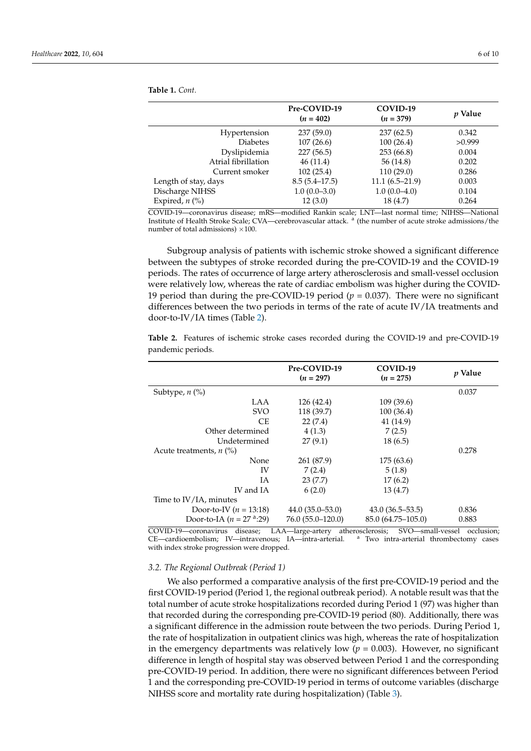|                      | Pre-COVID-19<br>$(n = 402)$ | COVID-19<br>$(n = 379)$ | <i>p</i> Value |
|----------------------|-----------------------------|-------------------------|----------------|
| Hypertension         | 237(59.0)                   | 237(62.5)               | 0.342          |
| <b>Diabetes</b>      | 107(26.6)                   | 100(26.4)               | >0.999         |
| Dyslipidemia         | 227(56.5)                   | 253(66.8)               | 0.004          |
| Atrial fibrillation  | 46(11.4)                    | 56 (14.8)               | 0.202          |
| Current smoker       | 102(25.4)                   | 110(29.0)               | 0.286          |
| Length of stay, days | $8.5(5.4-17.5)$             | $11.1(6.5-21.9)$        | 0.003          |
| Discharge NIHSS      | $1.0(0.0-3.0)$              | $1.0(0.0-4.0)$          | 0.104          |
| Expired, $n$ (%)     | 12(3.0)                     | 18 (4.7)                | 0.264          |

**Table 1.** *Cont.*

COVID-19—coronavirus disease; mRS—modified Rankin scale; LNT—last normal time; NIHSS—National Institute of Health Stroke Scale; CVA—cerebrovascular attack. <sup>a</sup> (the number of acute stroke admissions/the number of total admissions)  $\times 100$ .

Subgroup analysis of patients with ischemic stroke showed a significant difference between the subtypes of stroke recorded during the pre-COVID-19 and the COVID-19 periods. The rates of occurrence of large artery atherosclerosis and small-vessel occlusion were relatively low, whereas the rate of cardiac embolism was higher during the COVID-19 period than during the pre-COVID-19 period ( $p = 0.037$ ). There were no significant differences between the two periods in terms of the rate of acute IV/IA treatments and door-to-IV/IA times (Table [2\)](#page-5-0).

|                                         | Pre-COVID-19<br>$(n = 297)$ | COVID-19<br>$(n = 275)$ | <i>v</i> Value |
|-----------------------------------------|-----------------------------|-------------------------|----------------|
| Subtype, $n$ $\left(\% \right)$         |                             |                         | 0.037          |
| LAA.                                    | 126 (42.4)                  | 109(39.6)               |                |
| <b>SVO</b>                              | 118 (39.7)                  | 100(36.4)               |                |
| CF.                                     | 22(7.4)                     | 41 (14.9)               |                |
| Other determined                        | 4(1.3)                      | 7(2.5)                  |                |
| Undetermined                            | 27(9.1)                     | 18(6.5)                 |                |
| Acute treatments, $n$ (%)               |                             |                         | 0.278          |
| <b>None</b>                             | 261 (87.9)                  | 175 (63.6)              |                |
| IV                                      | 7(2.4)                      | 5(1.8)                  |                |
| IΑ                                      | 23(7.7)                     | 17(6.2)                 |                |
| IV and IA                               | 6(2.0)                      | 13(4.7)                 |                |
| Time to IV/IA, minutes                  |                             |                         |                |
| Door-to-IV $(n = 13:18)$                | $44.0(35.0 - 53.0)$         | $43.0(36.5-53.5)$       | 0.836          |
| Door-to-IA ( $n = 27$ <sup>a</sup> :29) | $76.0(55.0-120.0)$          | 85.0 (64.75–105.0)      | 0.883          |

<span id="page-5-0"></span>**Table 2.** Features of ischemic stroke cases recorded during the COVID-19 and pre-COVID-19 pandemic periods.

COVID-19—coronavirus disease; LAA—large-artery atherosclerosis; SVO—small-vessel occlusion; CE—cardioembolism; IV—intravenous; IA—intra-arterial. <sup>a</sup> Two intra-arterial thrombectomy cases with index stroke progression were dropped.

#### *3.2. The Regional Outbreak (Period 1)*

We also performed a comparative analysis of the first pre-COVID-19 period and the first COVID-19 period (Period 1, the regional outbreak period). A notable result was that the total number of acute stroke hospitalizations recorded during Period 1 (97) was higher than that recorded during the corresponding pre-COVID-19 period (80). Additionally, there was a significant difference in the admission route between the two periods. During Period 1, the rate of hospitalization in outpatient clinics was high, whereas the rate of hospitalization in the emergency departments was relatively low  $(p = 0.003)$ . However, no significant difference in length of hospital stay was observed between Period 1 and the corresponding pre-COVID-19 period. In addition, there were no significant differences between Period 1 and the corresponding pre-COVID-19 period in terms of outcome variables (discharge NIHSS score and mortality rate during hospitalization) (Table [3\)](#page-6-0).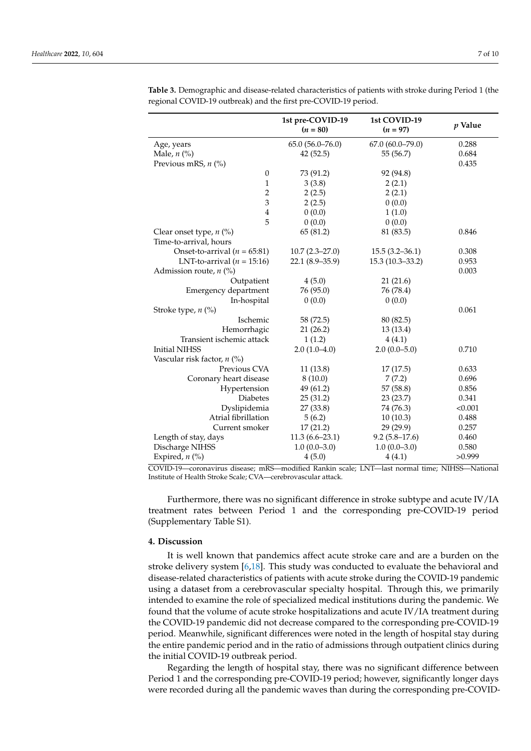|                                  | 1st pre-COVID-19<br>$(n = 80)$ | 1st COVID-19<br>$(n = 97)$ | $p$ Value |
|----------------------------------|--------------------------------|----------------------------|-----------|
| Age, years                       | $65.0(56.0 - 76.0)$            | $67.0 (60.0 - 79.0)$       | 0.288     |
| Male, $n$ (%)                    | 42 (52.5)                      | 55 (56.7)                  | 0.684     |
| Previous mRS, $n$ (%)            |                                |                            | 0.435     |
| $\boldsymbol{0}$                 | 73 (91.2)                      | 92 (94.8)                  |           |
| $\mathbf 1$                      | 3(3.8)                         | 2(2.1)                     |           |
| $\overline{2}$                   | 2(2.5)                         | 2(2.1)                     |           |
| 3                                | 2(2.5)                         | 0(0.0)                     |           |
| $\overline{4}$                   | 0(0.0)                         | 1(1.0)                     |           |
| 5                                | 0(0.0)                         | 0(0.0)                     |           |
| Clear onset type, $n$ (%)        | 65 (81.2)                      | 81 (83.5)                  | 0.846     |
| Time-to-arrival, hours           |                                |                            |           |
| Onset-to-arrival ( $n = 65:81$ ) | $10.7(2.3 - 27.0)$             | $15.5(3.2 - 36.1)$         | 0.308     |
| LNT-to-arrival ( $n = 15:16$ )   | $22.1(8.9-35.9)$               | 15.3 (10.3-33.2)           | 0.953     |
| Admission route, $n$ (%)         |                                |                            | 0.003     |
| Outpatient                       | 4(5.0)                         | 21(21.6)                   |           |
| Emergency department             | 76 (95.0)                      | 76 (78.4)                  |           |
| In-hospital                      | 0(0.0)                         | 0(0.0)                     |           |
| Stroke type, $n$ (%)             |                                |                            | 0.061     |
| Ischemic                         | 58 (72.5)                      | 80 (82.5)                  |           |
| Hemorrhagic                      | 21 (26.2)                      | 13 (13.4)                  |           |
| Transient ischemic attack        | 1(1.2)                         | 4(4.1)                     |           |
| <b>Initial NIHSS</b>             | $2.0(1.0-4.0)$                 | $2.0(0.0-5.0)$             | 0.710     |
| Vascular risk factor, n (%)      |                                |                            |           |
| Previous CVA                     | 11(13.8)                       | 17(17.5)                   | 0.633     |
| Coronary heart disease           | 8(10.0)                        | 7(7.2)                     | 0.696     |
| Hypertension                     | 49 (61.2)                      | 57 (58.8)                  | 0.856     |
| <b>Diabetes</b>                  | 25(31.2)                       | 23 (23.7)                  | 0.341     |
| Dyslipidemia                     | 27 (33.8)                      | 74 (76.3)                  | < 0.001   |
| Atrial fibrillation              | 5(6.2)                         | 10(10.3)                   | 0.488     |
| Current smoker                   | 17(21.2)                       | 29 (29.9)                  | 0.257     |
| Length of stay, days             | $11.3(6.6-23.1)$               | $9.2(5.8-17.6)$            | 0.460     |
| Discharge NIHSS                  | $1.0(0.0-3.0)$                 | $1.0(0.0-3.0)$             | 0.580     |
| Expired, $n$ (%)                 | 4(5.0)                         | 4(4.1)                     | >0.999    |

<span id="page-6-0"></span>**Table 3.** Demographic and disease-related characteristics of patients with stroke during Period 1 (the regional COVID-19 outbreak) and the first pre-COVID-19 period.

COVID-19—coronavirus disease; mRS—modified Rankin scale; LNT—last normal time; NIHSS—National Institute of Health Stroke Scale; CVA—cerebrovascular attack.

Furthermore, there was no significant difference in stroke subtype and acute IV/IA treatment rates between Period 1 and the corresponding pre-COVID-19 period (Supplementary Table S1).

### **4. Discussion**

It is well known that pandemics affect acute stroke care and are a burden on the stroke delivery system [\[6,](#page-8-5)[18\]](#page-9-11). This study was conducted to evaluate the behavioral and disease-related characteristics of patients with acute stroke during the COVID-19 pandemic using a dataset from a cerebrovascular specialty hospital. Through this, we primarily intended to examine the role of specialized medical institutions during the pandemic. We found that the volume of acute stroke hospitalizations and acute IV/IA treatment during the COVID-19 pandemic did not decrease compared to the corresponding pre-COVID-19 period. Meanwhile, significant differences were noted in the length of hospital stay during the entire pandemic period and in the ratio of admissions through outpatient clinics during the initial COVID-19 outbreak period.

Regarding the length of hospital stay, there was no significant difference between Period 1 and the corresponding pre-COVID-19 period; however, significantly longer days were recorded during all the pandemic waves than during the corresponding pre-COVID-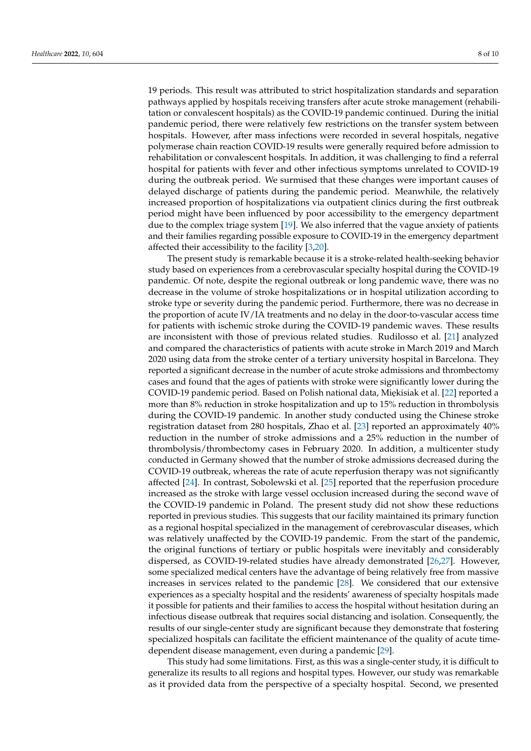19 periods. This result was attributed to strict hospitalization standards and separation pathways applied by hospitals receiving transfers after acute stroke management (rehabilitation or convalescent hospitals) as the COVID-19 pandemic continued. During the initial pandemic period, there were relatively few restrictions on the transfer system between hospitals. However, after mass infections were recorded in several hospitals, negative polymerase chain reaction COVID-19 results were generally required before admission to rehabilitation or convalescent hospitals. In addition, it was challenging to find a referral hospital for patients with fever and other infectious symptoms unrelated to COVID-19 during the outbreak period. We surmised that these changes were important causes of delayed discharge of patients during the pandemic period. Meanwhile, the relatively increased proportion of hospitalizations via outpatient clinics during the first outbreak period might have been influenced by poor accessibility to the emergency department due to the complex triage system [\[19\]](#page-9-12). We also inferred that the vague anxiety of patients and their families regarding possible exposure to COVID-19 in the emergency department

affected their accessibility to the facility [\[3,](#page-8-2)[20\]](#page-9-13). The present study is remarkable because it is a stroke-related health-seeking behavior study based on experiences from a cerebrovascular specialty hospital during the COVID-19 pandemic. Of note, despite the regional outbreak or long pandemic wave, there was no decrease in the volume of stroke hospitalizations or in hospital utilization according to stroke type or severity during the pandemic period. Furthermore, there was no decrease in the proportion of acute IV/IA treatments and no delay in the door-to-vascular access time for patients with ischemic stroke during the COVID-19 pandemic waves. These results are inconsistent with those of previous related studies. Rudilosso et al. [\[21\]](#page-9-14) analyzed and compared the characteristics of patients with acute stroke in March 2019 and March 2020 using data from the stroke center of a tertiary university hospital in Barcelona. They reported a significant decrease in the number of acute stroke admissions and thrombectomy cases and found that the ages of patients with stroke were significantly lower during the COVID-19 pandemic period. Based on Polish national data, Miękisiak et al. [\[22\]](#page-9-15) reported a more than 8% reduction in stroke hospitalization and up to 15% reduction in thrombolysis during the COVID-19 pandemic. In another study conducted using the Chinese stroke registration dataset from 280 hospitals, Zhao et al. [\[23\]](#page-9-16) reported an approximately 40% reduction in the number of stroke admissions and a 25% reduction in the number of thrombolysis/thrombectomy cases in February 2020. In addition, a multicenter study conducted in Germany showed that the number of stroke admissions decreased during the COVID-19 outbreak, whereas the rate of acute reperfusion therapy was not significantly affected [\[24\]](#page-9-17). In contrast, Sobolewski et al. [\[25\]](#page-9-18) reported that the reperfusion procedure increased as the stroke with large vessel occlusion increased during the second wave of the COVID-19 pandemic in Poland. The present study did not show these reductions reported in previous studies. This suggests that our facility maintained its primary function as a regional hospital specialized in the management of cerebrovascular diseases, which was relatively unaffected by the COVID-19 pandemic. From the start of the pandemic, the original functions of tertiary or public hospitals were inevitably and considerably dispersed, as COVID-19-related studies have already demonstrated [\[26,](#page-9-19)[27\]](#page-9-20). However, some specialized medical centers have the advantage of being relatively free from massive increases in services related to the pandemic [\[28\]](#page-9-21). We considered that our extensive experiences as a specialty hospital and the residents' awareness of specialty hospitals made it possible for patients and their families to access the hospital without hesitation during an infectious disease outbreak that requires social distancing and isolation. Consequently, the results of our single-center study are significant because they demonstrate that fostering specialized hospitals can facilitate the efficient maintenance of the quality of acute timedependent disease management, even during a pandemic [\[29\]](#page-9-22).

This study had some limitations. First, as this was a single-center study, it is difficult to generalize its results to all regions and hospital types. However, our study was remarkable as it provided data from the perspective of a specialty hospital. Second, we presented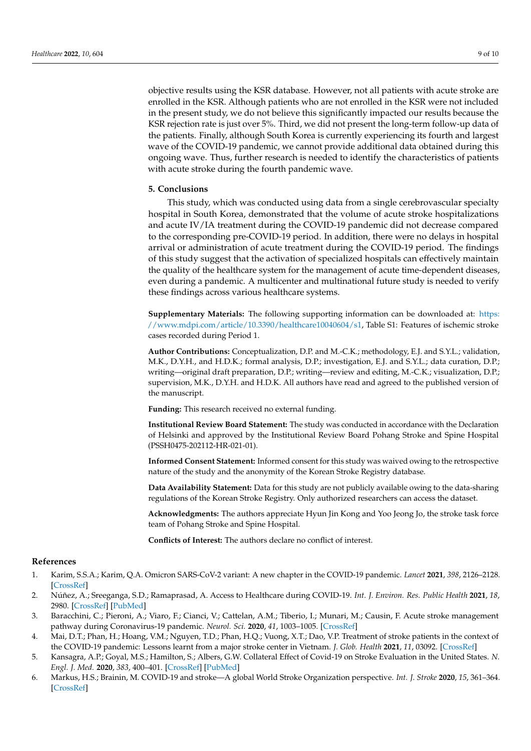objective results using the KSR database. However, not all patients with acute stroke are enrolled in the KSR. Although patients who are not enrolled in the KSR were not included in the present study, we do not believe this significantly impacted our results because the KSR rejection rate is just over 5%. Third, we did not present the long-term follow-up data of the patients. Finally, although South Korea is currently experiencing its fourth and largest wave of the COVID-19 pandemic, we cannot provide additional data obtained during this ongoing wave. Thus, further research is needed to identify the characteristics of patients with acute stroke during the fourth pandemic wave.

#### **5. Conclusions**

This study, which was conducted using data from a single cerebrovascular specialty hospital in South Korea, demonstrated that the volume of acute stroke hospitalizations and acute IV/IA treatment during the COVID-19 pandemic did not decrease compared to the corresponding pre-COVID-19 period. In addition, there were no delays in hospital arrival or administration of acute treatment during the COVID-19 period. The findings of this study suggest that the activation of specialized hospitals can effectively maintain the quality of the healthcare system for the management of acute time-dependent diseases, even during a pandemic. A multicenter and multinational future study is needed to verify these findings across various healthcare systems.

**Supplementary Materials:** The following supporting information can be downloaded at: [https:](https://www.mdpi.com/article/10.3390/healthcare10040604/s1) [//www.mdpi.com/article/10.3390/healthcare10040604/s1,](https://www.mdpi.com/article/10.3390/healthcare10040604/s1) Table S1: Features of ischemic stroke cases recorded during Period 1.

**Author Contributions:** Conceptualization, D.P. and M.-C.K.; methodology, E.J. and S.Y.L.; validation, M.K., D.Y.H., and H.D.K.; formal analysis, D.P.; investigation, E.J. and S.Y.L.; data curation, D.P.; writing—original draft preparation, D.P.; writing—review and editing, M.-C.K.; visualization, D.P.; supervision, M.K., D.Y.H. and H.D.K. All authors have read and agreed to the published version of the manuscript.

**Funding:** This research received no external funding.

**Institutional Review Board Statement:** The study was conducted in accordance with the Declaration of Helsinki and approved by the Institutional Review Board Pohang Stroke and Spine Hospital (PSSH0475-202112-HR-021-01).

**Informed Consent Statement:** Informed consent for this study was waived owing to the retrospective nature of the study and the anonymity of the Korean Stroke Registry database.

**Data Availability Statement:** Data for this study are not publicly available owing to the data-sharing regulations of the Korean Stroke Registry. Only authorized researchers can access the dataset.

**Acknowledgments:** The authors appreciate Hyun Jin Kong and Yoo Jeong Jo, the stroke task force team of Pohang Stroke and Spine Hospital.

**Conflicts of Interest:** The authors declare no conflict of interest.

## **References**

- <span id="page-8-0"></span>1. Karim, S.S.A.; Karim, Q.A. Omicron SARS-CoV-2 variant: A new chapter in the COVID-19 pandemic. *Lancet* **2021**, *398*, 2126–2128. [\[CrossRef\]](http://doi.org/10.1016/S0140-6736(21)02758-6)
- <span id="page-8-1"></span>2. Núñez, A.; Sreeganga, S.D.; Ramaprasad, A. Access to Healthcare during COVID-19. *Int. J. Environ. Res. Public Health* **2021**, *18*, 2980. [\[CrossRef\]](http://doi.org/10.3390/ijerph18062980) [\[PubMed\]](http://www.ncbi.nlm.nih.gov/pubmed/33799417)
- <span id="page-8-2"></span>3. Baracchini, C.; Pieroni, A.; Viaro, F.; Cianci, V.; Cattelan, A.M.; Tiberio, I.; Munari, M.; Causin, F. Acute stroke management pathway during Coronavirus-19 pandemic. *Neurol. Sci.* **2020**, *41*, 1003–1005. [\[CrossRef\]](http://doi.org/10.1007/s10072-020-04375-9)
- <span id="page-8-3"></span>4. Mai, D.T.; Phan, H.; Hoang, V.M.; Nguyen, T.D.; Phan, H.Q.; Vuong, X.T.; Dao, V.P. Treatment of stroke patients in the context of the COVID-19 pandemic: Lessons learnt from a major stroke center in Vietnam. *J. Glob. Health* **2021**, *11*, 03092. [\[CrossRef\]](http://doi.org/10.7189/jogh.11.03092)
- <span id="page-8-4"></span>5. Kansagra, A.P.; Goyal, M.S.; Hamilton, S.; Albers, G.W. Collateral Effect of Covid-19 on Stroke Evaluation in the United States. *N. Engl. J. Med.* **2020**, *383*, 400–401. [\[CrossRef\]](http://doi.org/10.1056/NEJMc2014816) [\[PubMed\]](http://www.ncbi.nlm.nih.gov/pubmed/32383831)
- <span id="page-8-5"></span>6. Markus, H.S.; Brainin, M. COVID-19 and stroke—A global World Stroke Organization perspective. *Int. J. Stroke* **2020**, *15*, 361–364. [\[CrossRef\]](http://doi.org/10.1177/1747493020923472)